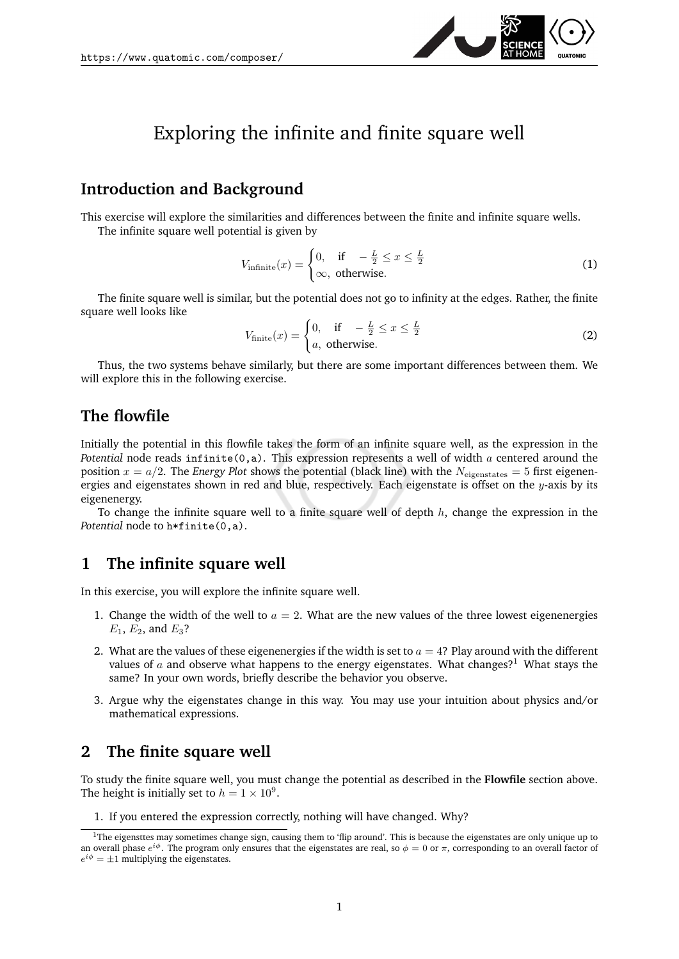

# Exploring the infinite and finite square well

## **Introduction and Background**

This exercise will explore the similarities and differences between the finite and infinite square wells. The infinite square well potential is given by

$$
V_{\text{infinite}}(x) = \begin{cases} 0, & \text{if } -\frac{L}{2} \le x \le \frac{L}{2} \\ \infty, & \text{otherwise.} \end{cases} \tag{1}
$$

The finite square well is similar, but the potential does not go to infinity at the edges. Rather, the finite square well looks like

$$
V_{\text{finite}}(x) = \begin{cases} 0, & \text{if } -\frac{L}{2} \le x \le \frac{L}{2} \\ a, & \text{otherwise.} \end{cases} \tag{2}
$$

Thus, the two systems behave similarly, but there are some important differences between them. We will explore this in the following exercise.

#### **The flowfile**

Initially the potential in this flowfile takes the form of an infinite square well, as the expression in the *Potential* node reads infinite(0,a). This expression represents a well of width a centered around the position  $x = a/2$ . The *Energy Plot* shows the potential (black line) with the  $N_{eigenstates} = 5$  first eigenenergies and eigenstates shown in red and blue, respectively. Each eigenstate is offset on the  $y$ -axis by its eigenenergy.

To change the infinite square well to a finite square well of depth  $h$ , change the expression in the *Potential* node to h\*finite(0,a).

## **1 The infinite square well**

In this exercise, you will explore the infinite square well.

- 1. Change the width of the well to  $a = 2$ . What are the new values of the three lowest eigenenergies  $E_1, E_2$ , and  $E_3$ ?
- 2. What are the values of these eigenenergies if the width is set to  $a = 4$ ? Play around with the different values of  $\alpha$  and observe what happens to the energy eigenstates. What changes?<sup>[1](#page-0-0)</sup> What stays the same? In your own words, briefly describe the behavior you observe.
- 3. Argue why the eigenstates change in this way. You may use your intuition about physics and/or mathematical expressions.

# **2 The finite square well**

To study the finite square well, you must change the potential as described in the **Flowfile** section above. The height is initially set to  $h = 1 \times 10^9$ .

1. If you entered the expression correctly, nothing will have changed. Why?

<span id="page-0-0"></span> $1$ The eigensttes may sometimes change sign, causing them to 'flip around'. This is because the eigenstates are only unique up to an overall phase  $e^{i\phi}$ . The program only ensures that the eigenstates are real, so  $\phi = 0$  or  $\pi$ , corresponding to an overall factor of  $e^{i\phi} = \pm 1$  multiplying the eigenstates.